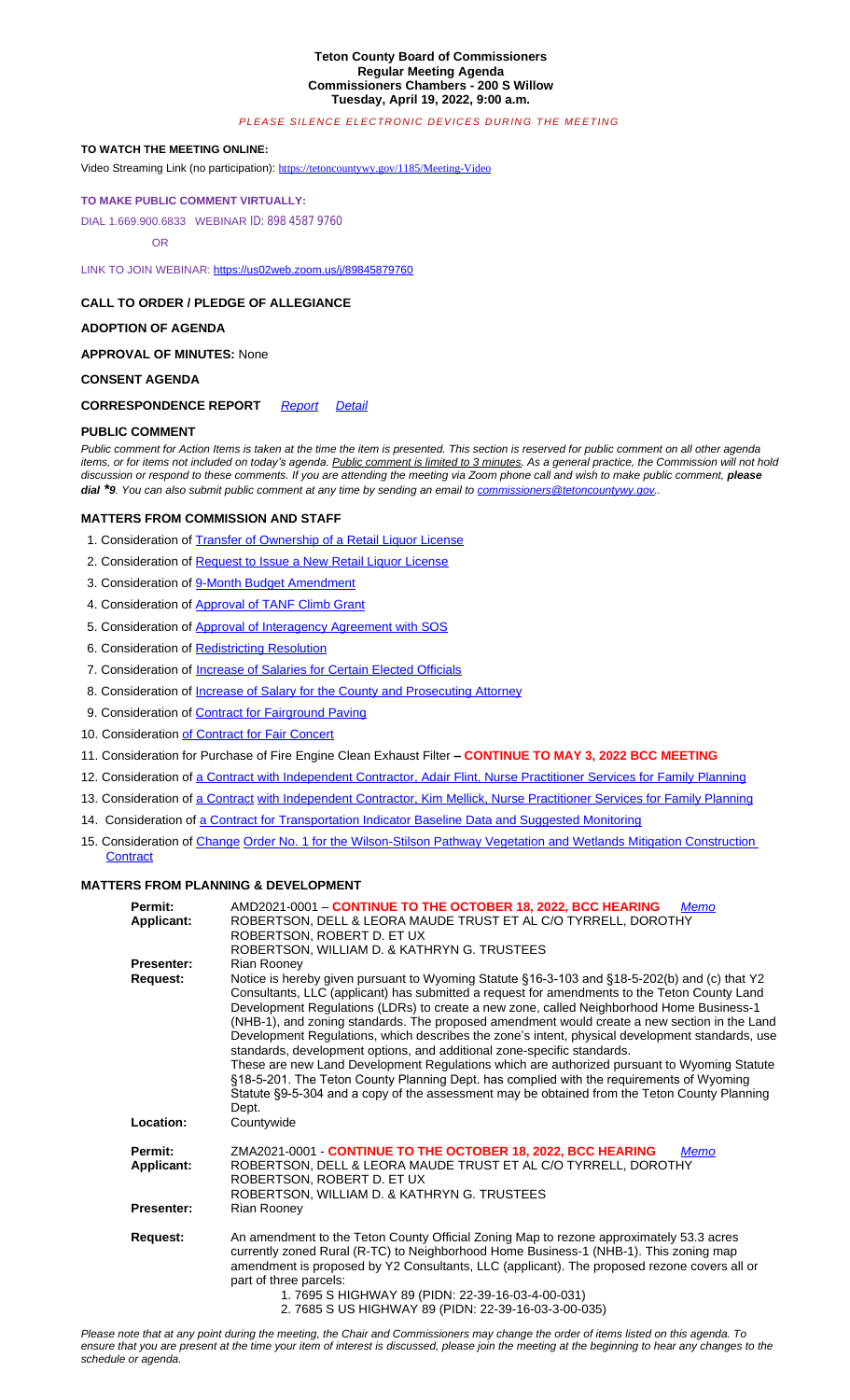#### **CALL TO ORDER / PLEDGE OF ALLEGIANCE**

## **ADOPTION OF AGENDA**

**APPROVAL OF MINUTES:** None

### **CONSENT AGENDA**

**CORRESPONDENCE REPORT** *Report Detail*

#### **PUBLIC COMMENT**

*Public comment for Action Items is taken at the time the item is presented. This section is reserved for public comment on all other agenda*  items, or for items not included on today's agenda. Public comment is limited to 3 minutes. As a general practice, the Commission will not hold *discussion or respond to these commen[ts. If you are attending the meeting via Zoom](https://tetoncountywy.gov/1185/Meeting-Video) phone call and wish to make public comment, please dial \*9[. You can also submit public comment a](https://tetoncountywy.gov/1185/Meeting-Video)t any time by sending an email to commissioners@tetoncountywy.gov..*

## **[MATTERS FROM COMMISSION AND STAFF](https://tetoncountywy.gov/1185/Meeting-Video)**

- [1. Consideratio](https://tetoncountywy.gov/1185/Meeting-Video)n of Transfer of Ownership of a Retail Liquor License
- [2. Consideration of Re](https://tetoncountywy.gov/1185/Meeting-Video)[quest to Issue a New Retail Liquor Li](https://us02web.zoom.us/j/89845879760)cense
- 3. Consideration of 9-Month Budget Amendment
- 4. Consideration of Approval of TANF Climb Grant
- 5. Consideration of Approval of Interagency Agreement with SOS
- 6. Consideration of Redistricting Resolution
- 7. Consideration of **Increase of Salaries for Certain Elected Officials**
- 8. Consideration of *Increase of Salary for the County and Prosecuting Attorney*
- 9. Consideration of **Contract for Fa[irground](https://www.tetoncountywy.gov/DocumentCenter/View/21856/0419-CorrespondenceReport) [Paving](https://www.tetoncountywy.gov/DocumentCenter/View/21855/0419-Correspondence-Detail)**
- 10. Consideration of Contract for Fair Concert
- 11. Consideration for Purchase of Fire Engine Clean Exhaust Filter **– CONTINUE TO MAY 3, 2022 BCC MEETING**
- 12. Consideration of a Contract with Independent Contractor, Adair Flint, Nurse Practitioner Services for Family Planning
- 13. Consideration of a Contract with Independent Contractor, Kim Melli[ck, Nurse Practitioner Services fo](mailto:commissioners@tetoncountywy.gov)r Family Planning
- 14. Consideration of a Contract for Transportation Indicator Baseline Data and Suggested Monitoring
- 15. Consideration of [Change](https://www.tetoncountywy.gov/DocumentCenter/View/21857/04191-Transfer-of-Liquor-License) [Order No. 1 for the Wilson-Stilson Pathw](https://www.tetoncountywy.gov/DocumentCenter/View/21857/04191-Transfer-of-Liquor-License)ay Vegetation and Wetlands Mitigation Construction **Contract**

## **MATTERS FROM P[LANNING](https://tetoncountywy.gov/DocumentCenter/View/21883/04193-9-Month-Budget-Amendment) & [DEVELOPMENT](https://tetoncountywy.gov/DocumentCenter/View/21883/04193-9-Month-Budget-Amendment)**

| Permit:<br><b>Applicant:</b> | AMD2021-0001 - CONTINUE TO THE OCTOBER 18, 2022, BCC HEARING<br><b>Memo</b><br>ROBERTSON, DELL & LEORA MAUDE TRUST ET AL C/O TYRRELL, DOROTHY<br>ROBERTSON, ROBERT D. ET UX<br>ROBERTSON, WILLIAM D. & KATHRYN G. TRUSTEES                                                                                                                                                                                                                                                                                                                                                                                                                                                                                                                                                                                                                                                  |
|------------------------------|-----------------------------------------------------------------------------------------------------------------------------------------------------------------------------------------------------------------------------------------------------------------------------------------------------------------------------------------------------------------------------------------------------------------------------------------------------------------------------------------------------------------------------------------------------------------------------------------------------------------------------------------------------------------------------------------------------------------------------------------------------------------------------------------------------------------------------------------------------------------------------|
| Presenter:                   | Rian Rooney                                                                                                                                                                                                                                                                                                                                                                                                                                                                                                                                                                                                                                                                                                                                                                                                                                                                 |
| Request:                     | Notice is hereby given pursuant to Wyoming Statute §16-3-103 and §18-5-202(b) and (c) that Y2<br>Consultants, LLC (applicant) has submitted a request for amendments to the Teton County Land<br>Development Regulations (LDRs) to create a new zone, called Neighborhood Home Business-1<br>(NHB-1), and zoning standards. The proposed amendment would create a new section in the Land<br>Development Regulations, which describes the zone's intent, physical development standards, use<br>standards, development options, and additional zone-specific standards.<br>These are new Land Development Regulations which are authorized pursuant to Wyoming Statute<br>§18-5-201. The Teton County Planning Dept. has complied with the requirements of Wyoming<br>Statute §9-5-304 and a copy of the assessment may be obtained from the Teton County Planning<br>Dept. |
| <b>Location:</b>             | Countywide                                                                                                                                                                                                                                                                                                                                                                                                                                                                                                                                                                                                                                                                                                                                                                                                                                                                  |
| Permit:<br><b>Applicant:</b> | ZMA2021-0001 - CONTINUE TO THE OCTOBER 18, 2022, BCC HEARING<br><b>Memo</b><br>ROBERTSON, DELL & LEORA MAUDE TRUST ET AL C/O TYRRELL, DOROTHY<br>ROBERTSON, ROBERT D. ET UX<br>ROBERTSON, WILLIAM D. & KATHRYN G. TRUSTEES                                                                                                                                                                                                                                                                                                                                                                                                                                                                                                                                                                                                                                                  |
| Presenter:                   | <b>Rian Rooney</b>                                                                                                                                                                                                                                                                                                                                                                                                                                                                                                                                                                                                                                                                                                                                                                                                                                                          |
| Request:                     | An amendment to the Teton County Official Zoning Map to rezone approximately 53.3 acres<br>currently zoned Rural (R-TC) to Neighborhood Home Business-1 (NHB-1). This zoning map<br>amendment is proposed by Y2 Consultants, LLC (applicant). The proposed rezone covers all or<br>part of three parcels:<br>1.7695 S HIGHWAY 89 (PIDN: 22-39-16-03-4-00-031)<br>2. 7685 S US HIGHWAY 89 (PIDN: 22-39-16-03-3-00-035)                                                                                                                                                                                                                                                                                                                                                                                                                                                       |

*Please note that at any point during the meeting, the Chair and Commissioners may change the order of items listed on this agenda. To ensure that you are present at the time your item of interest is discussed, please join the meeting at the beginning to hear any changes to the schedule or agenda.*